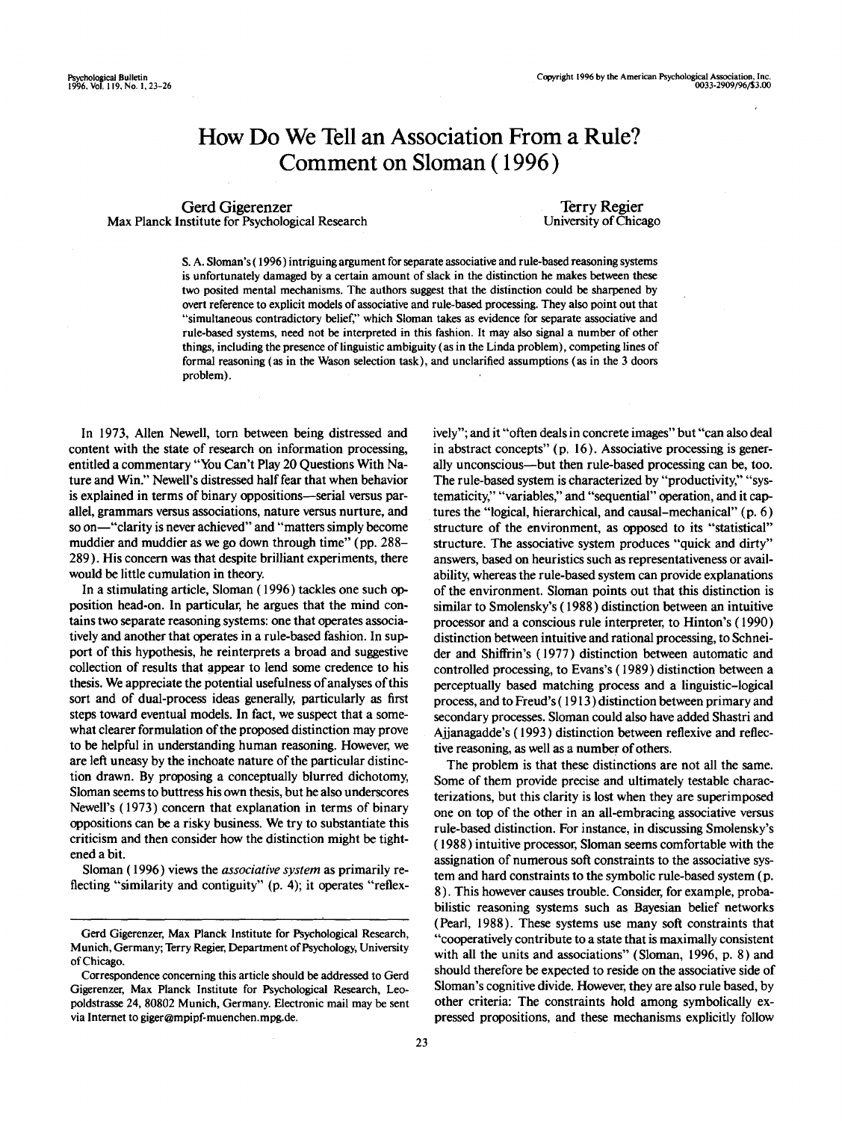# How Do We Tell an Association From a Rule? Comment on Sloman (1996)

Gerd Gigerenzer Max Planck Institute for Psychological Research

Terry Regier University of Chicago

S. A. Sloman's (1996) intriguing argument for separate associative and rule-based reasoning systems is unfortunately damaged by a certain amount of slack in the distinction he makes between these two posited mental mechanisms. The authors suggest that the distinction could be sharpened by overt reference to explicit models of associative and rule-based processing. They also point out that "simultaneous contradictory belief," which Sloman takes as evidence for separate associative and rule-based systems, need not be interpreted in this fashion. It may also signal a number of other things, including the presence of linguistic ambiguity (as in the Linda problem), competing lines of formal reasoning (as in the Wason selection task), and unclarined assumptions (as in the 3 doors problem).

In 1973, Allen Newell, torn between being distressed and content with the state of research on information processing, entitled a commentary "You Can't Play 20 Questions With Nature and Win." Newell's distressed half fear that when behavior is explained in terms of binary oppositions—serial versus parallel, grammars versus associations, nature versus nurture, and so on—"clarity is never achieved" and "matters simply become muddier and muddier as we go down through time" (pp. 288- 289). His concern was that despite brilliant experiments, there would be little cumulation in theory.

In a stimulating article, Sloman (1996) tackles one such opposition head-on. In particular, he argues that the mind contains two separate reasoning systems: one that operates associatively and another that operates in a rule-based fashion. In support of this hypothesis, he reinterprets a broad and suggestive collection of results that appear to lend some credence to his thesis. We appreciate the potential usefulness of analyses of this sort and of dual-process ideas generally, particularly as first steps toward eventual models. In fact, we suspect that a somewhat clearer formulation of the proposed distinction may prove to be helpful in understanding human reasoning. However, we are left uneasy by the inchoate nature of the particular distinction drawn. By proposing a conceptually blurred dichotomy, Sloman seems to buttress his own thesis, but he also underscores Newell's (1973) concern that explanation in terms of binary oppositions can be a risky business. We try to substantiate this criticism and then consider how the distinction might be tightened a bit.

Sloman (1996) views the *associative system* as primarily reflecting "similarity and contiguity" (p. 4); it operates "reflexively"; and it "often deals in concrete images" but "can also deal in abstract concepts" (p. 16). Associative processing is generally unconscious—but then rule-based processing can be, too. The rule-based system is characterized by "productivity," "systematicity," "variables," and "sequential" operation, and it captures the "logical, hierarchical, and causal-mechanical" (p. 6) structure of the environment, as opposed to its "statistical" structure. The associative system produces "quick and dirty" answers, based on heuristics such as representativeness or availability, whereas the rule-based system can provide explanations of the environment. Sloman points out that this distinction is similar to Smolensky's (1988) distinction between an intuitive processor and a conscious rule interpreter, to Hinton's (1990) distinction between intuitive and rational processing, to Schneider and Shiftrin's (1977) distinction between automatic and controlled processing, to Evans's (1989) distinction between a perceptually based matching process and a linguistic-logical process, and to Freud's (1913) distinction between primary and secondary processes. Sloman could also have added Shastri and Ajjanagadde's (1993) distinction between reflexive and reflective reasoning, as well as a number of others.

The problem is that these distinctions are not all the same. Some of them provide precise and ultimately testable characterizations, but this clarity is lost when they are superimposed one on top of the other in an all-embracing associative versus rule-based distinction. For instance, in discussing Smolensky's (1988) intuitive processor, Sloman seems comfortable with the assignation of numerous soft constraints to the associative system and hard constraints to the symbolic rule-based system (p. 8). This however causes trouble. Consider, for example, probabilistic reasoning systems such as Bayesian belief networks (Pearl, 1988). These systems use many soft constraints that "cooperatively contribute to a state that is maximally consistent with all the units and associations" (Sloman, 1996, p. 8) and should therefore be expected to reside on the associative side of Sloman's cognitive divide. However, they are also rule based, by other criteria: The constraints hold among symbolically expressed propositions, and these mechanisms explicitly follow

Gerd Gigerenzer, Max Planck Institute for Psychological Research, Munich, Germany; Terry Regier, Department of Psychology, University of Chicago.

Correspondence concerning this article should be addressed to Gerd Gigerenzer, Max Planck Institute for Psychological Research, Leopoldstrasse 24, 80802 Munich, Germany. Electronic mail may be sent via Internet to giger@mpipf-muenchen.mpg.de.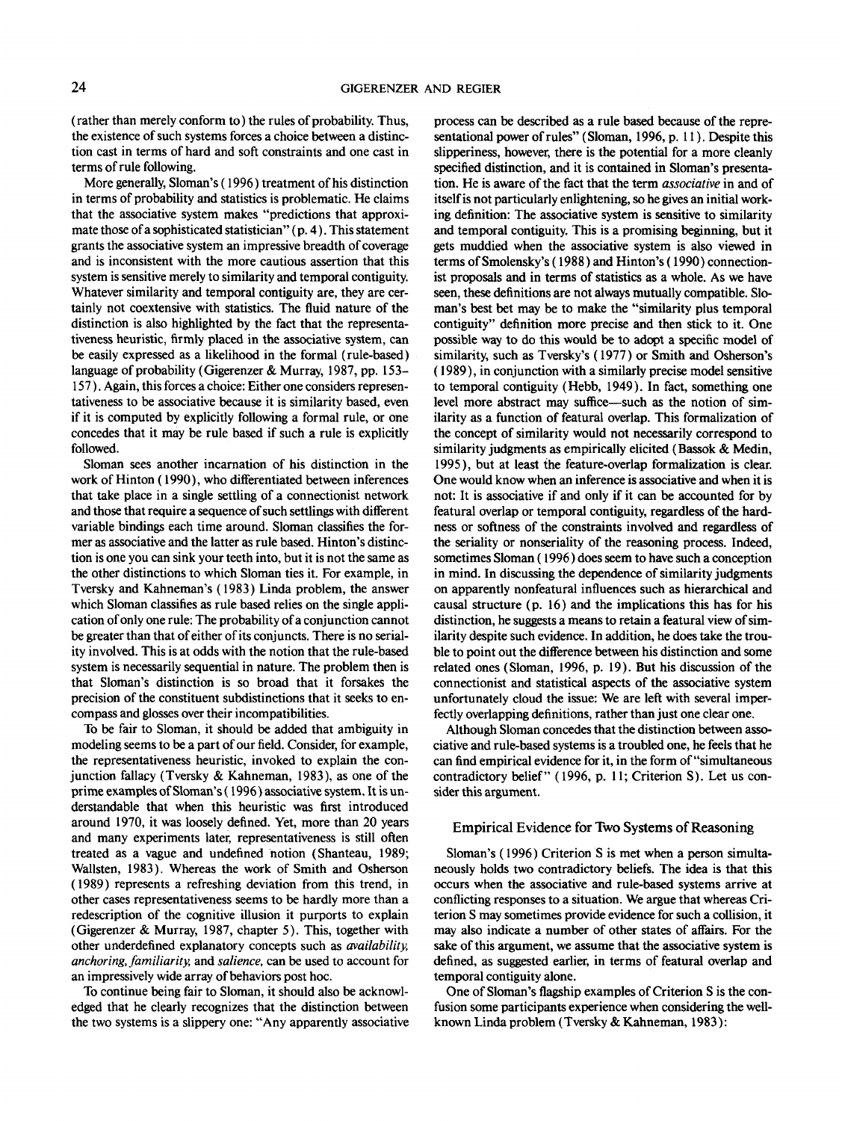(rather than merely conform to) the rules of probability. Thus, the existence of such systems forces a choice between a distinction cast in terms of hard and soft constraints and one cast in terms of rule following.

More generally, Sloman's (1996) treatment of his distinction in terms of probability and statistics is problematic. He claims that the associative system makes "predictions that approximate those of a sophisticated statistician" (p. 4). This statement grants the associative system an impressive breadth of coverage and is inconsistent with the more cautious assertion that this system is sensitive merely to similarity and temporal contiguity. Whatever similarity and temporal contiguity are, they are certainly not coextensive with statistics. The fluid nature of the distinction is also highlighted by the fact that the representativeness heuristic, firmly placed in the associative system, can be easily expressed as a likelihood in the formal (rule-based) language of probability (Gigerenzer & Murray, 1987, pp. 153– 157). Again, this forces a choice: Either one considers representativeness to be associative because it is similarity based, even if it is computed by explicitly following a formal rule, or one concedes that it may be rule based if such a rule is explicitly followed.

Sloman sees another incarnation of his distinction in the work of Hinton (1990), who differentiated between inferences that take place in a single settling of a connectionist network and those that require a sequence of such settlings with different variable bindings each time around. Sloman classifies the former as associative and the latter as rule based. Hinton's distinction is one you can sink your teeth into, but it is not the same as the other distinctions to which Sloman ties it. For example, in Tversky and Kahneman's (1983) Linda problem, the answer which Sloman classifies as rule based relies on the single application of only one rule: The probability of a conjunction cannot be greater than that of either of its conjuncts. There is no seriality involved. This is at odds with the notion that the rule-based system is necessarily sequential in nature. The problem then is that Sloman's distinction is so broad that it forsakes the precision of the constituent subdistinctions that it seeks to encompass and glosses over their incompatibilities.

To be fair to Sloman, it should be added that ambiguity in modeling seems to be a part of our field. Consider, for example, the representativeness heuristic, invoked to explain the conjunction fallacy (Tversky & Kahneman, 1983), as one of the prime examples of Sloman's (1996) associative system. It is understandable that when this heuristic was first introduced around 1970, it was loosely defined. Yet, more than 20 years and many experiments later, representativeness is still often treated as a vague and undefined notion (Shanteau, 1989; Wallsten, 1983). Whereas the work of Smith and Osherson (1989) represents a refreshing deviation from this trend, in other cases representativeness seems to be hardly more than a redescription of the cognitive illusion it purports to explain (Gigerenzer & Murray, 1987, chapter 5). This, together with other underdefined explanatory concepts such as *availability, anchoring, familiarity,* and *salience,* can be used to account for an impressively wide array of behaviors post hoc.

To continue being fair to Sloman, it should also be acknowledged that he clearly recognizes that the distinction between the two systems is a slippery one: "Any apparently associative process can be described as a rule based because of the representational power of rules" (Sloman, 1996, p. 11). Despite this slipperiness, however, there is the potential for a more cleanly specified distinction, and it is contained in Sloman's presentation. He is aware of the fact that the term *associative* in and of itself is not particularly enlightening, so he gives an initial working definition: The associative system is sensitive to similarity and temporal contiguity. This is a promising beginning, but it gets muddied when the associative system is also viewed in terms of Smolensky's (1988) and Hinton's (1990) connectionist proposals and in terms of statistics as a whole. As we have seen, these definitions are not always mutually compatible. Sloman's best bet may be to make the "similarity plus temporal contiguity" definition more precise and then stick to it. One possible way to do this would be to adopt a specific model of similarity, such as Tversky's (1977) or Smith and Osherson's (1989), in conjunction with a similarly precise model sensitive to temporal contiguity (Hebb, 1949). In fact, something one level more abstract may suffice—such as the notion of similarity as a function of featural overlap. This formalization of the concept of similarity would not necessarily correspond to similarity judgments as empirically elicited (Bassok & Medin, 1995), but at least the feature-overlap formalization is clear. One would know when an inference is associative and when it is not: It is associative if and only if it can be accounted for by featural overlap or temporal contiguity, regardless of the hardness or softness of the constraints involved and regardless of the seriality or nonseriality of the reasoning process. Indeed, sometimes Sloman (1996) does seem to have such a conception in mind. In discussing the dependence of similarity judgments on apparently nonfeatural influences such as hierarchical and causal structure (p. 16) and the implications this has for his distinction, he suggests a means to retain a featural view of similarity despite such evidence. In addition, he does take the trouble to point out the difference between his distinction and some related ones (Sloman, 1996, p. 19). But his discussion of the connectionist and statistical aspects of the associative system unfortunately cloud the issue: We are left with several imperfectly overlapping definitions, rather than just one clear one.

Although Sloman concedes that the distinction between associative and rule-based systems is a troubled one, he feels that he can find empirical evidence for it, in the form of "simultaneous contradictory belief" (1996, p. 11; Criterion S). Let us consider this argument.

### Empirical Evidence for Two Systems of Reasoning

Sloman's (1996) Criterion S is met when a person simultaneously holds two contradictory beliefs. The idea is that this occurs when the associative and rule-based systems arrive at conflicting responses to a situation. We argue that whereas Criterion S may sometimes provide evidence for such a collision, it may also indicate a number of other states of affairs. For the sake of this argument, we assume that the associative system is defined, as suggested earlier, in terms of featural overlap and temporal contiguity alone.

One of Sloman's flagship examples of Criterion S is the confusion some participants experience when considering the wellknown Linda problem (Tversky & Kahneman, 1983):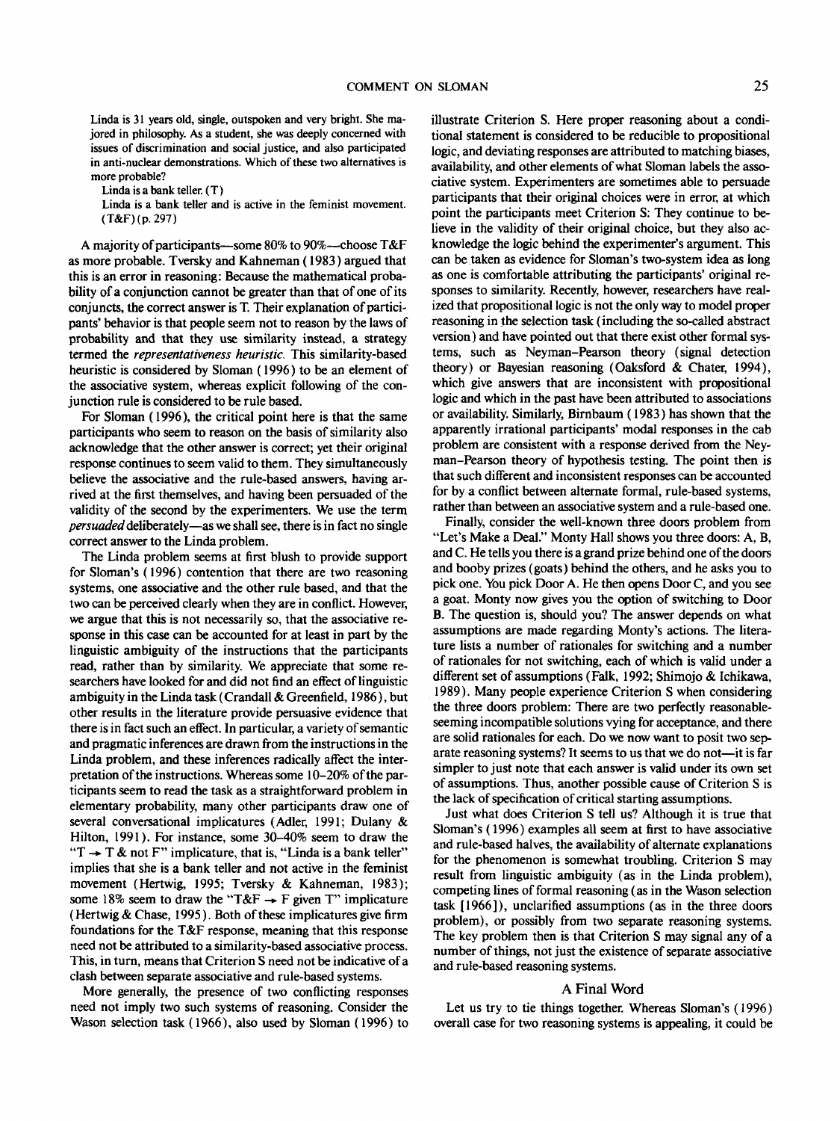Linda is 31 years old, single, outspoken and very bright. She majored in philosophy. As a student, she was deeply concerned with issues of discrimination and social justice, and also participated in anti-nuclear demonstrations. Which of these two alternatives is more probable?

Linda is a bank teller. (T)

Linda is a bank teller and is active in the feminist movement. (T&F)(p.297)

A majority of participants—some 80% to 90%—choose T&F as more probable. Tversky and Kahneman (1983) argued that this is an error in reasoning: Because the mathematical probability of a conjunction cannot be greater than that of one of its conjuncts, the correct answer is T. Their explanation of participants' behavior is that people seem not to reason by the laws of probability and that they use similarity instead, a strategy termed the *representativeness heuristic.* This similarity-based heuristic is considered by Sloman (1996) to be an element of the associative system, whereas explicit following of the conjunction rule is considered to be rule based.

For Sloman (1996), the critical point here is that the same participants who seem to reason on the basis of similarity also acknowledge that the other answer is correct; yet their original response continues to seem valid to them. They simultaneously believe the associative and the rule-based answers, having arrived at the first themselves, and having been persuaded of the validity of the second by the experimenters. We use the term *persuaded* deliberately—as we shall see, there is in fact no single correct answer to the Linda problem.

The Linda problem seems at first blush to provide support for Sloman's (1996) contention that there are two reasoning systems, one associative and the other rule based, and that the two can be perceived clearly when they are in conflict. However, we argue that this is not necessarily so, that the associative response in this case can be accounted for at least in part by the linguistic ambiguity of the instructions that the participants read, rather than by similarity. We appreciate that some researchers have looked for and did not find an effect of linguistic ambiguity in the Linda task (Crandall & Greenfield, 1986), but other results in the literature provide persuasive evidence that there is in fact such an effect. In particular, a variety of semantic and pragmatic inferences are drawn from the instructions in the Linda problem, and these inferences radically affect the interpretation of the instructions. Whereas some 10-20% of the participants seem to read the task as a straightforward problem in elementary probability, many other participants draw one of several conversational implicatures (Adler, 1991; Dulany & Hilton, 1991). For instance, some 30-40% seem to draw the " $T \rightarrow T \&$  not F" implicature, that is, "Linda is a bank teller" implies that she is a bank teller and not active in the feminist movement (Hertwig, 1995; Tversky & Kahneman, 1983); some 18% seem to draw the "T&F  $\rightarrow$  F given T" implicature (Hertwig & Chase, 1995). Both of these implicatures give firm foundations for the T&F response, meaning that this response need not be attributed to a similarity-based associative process. This, in turn, means that Criterion S need not be indicative of a clash between separate associative and rule-based systems.

More generally, the presence of two conflicting responses need not imply two such systems of reasoning. Consider the Wason selection task (1966), also used by Sloman (1996) to illustrate Criterion S. Here proper reasoning about a conditional statement is considered to be reducible to propositional logic, and deviating responses are attributed to matching biases, availability, and other elements of what Sloman labels the associative system. Experimenters are sometimes able to persuade participants that their original choices were in error, at which point the participants meet Criterion S: They continue to believe in the validity of their original choice, but they also acknowledge the logic behind the experimenter's argument. This can be taken as evidence for Sloman's two-system idea as long as one is comfortable attributing the participants' original responses to similarity. Recently, however, researchers have realized that propositional logic is not the only way to model proper reasoning in the selection task (including the so-called abstract version) and have pointed out that there exist other formal systems, such as Neyman-Pearson theory (signal detection theory) or Bayesian reasoning (Oaksford & Chater, 1994), which give answers that are inconsistent with propositional logic and which in the past have been attributed to associations or availability. Similarly, Birnbaum (1983) has shown that the apparently irrational participants' modal responses in the cab problem are consistent with a response derived from the Neyman-Pearson theory of hypothesis testing. The point then is that such different and inconsistent responses can be accounted for by a conflict between alternate formal, rule-based systems, rather than between an associative system and a rule-based one.

Finally, consider the well-known three doors problem from "Let's Make a Deal." Monty Hall shows you three doors: A, B, and C. He tells you there is a grand prize behind one of the doors and booby prizes (goats) behind the others, and he asks you to pick one. You pick Door A. He then opens Door C, and you see a goat. Monty now gives you the option of switching to Door B. The question is, should you? The answer depends on what assumptions are made regarding Monty's actions. The literature lists a number of rationales for switching and a number of rationales for not switching, each of which is valid under a different set of assumptions (Falk, 1992; Shimojo & Ichikawa, 1989). Many people experience Criterion S when considering the three doors problem: There are two perfectly reasonableseeming incompatible solutions vying for acceptance, and there are solid rationales for each. Do we now want to posit two separate reasoning systems? It seems to us that we do not—it is far simpler to just note that each answer is valid under its own set of assumptions. Thus, another possible cause of Criterion S is the lack of specification of critical starting assumptions.

Just what does Criterion S tell us? Although it is true that Sloman's (1996) examples all seem at first to have associative and rule-based halves, the availability of alternate explanations for the phenomenon is somewhat troubling. Criterion S may result from linguistic ambiguity (as in the Linda problem), competing lines of formal reasoning (as in the Wason selection task [1966]), unclarified assumptions (as in the three doors problem), or possibly from two separate reasoning systems. The key problem then is that Criterion S may signal any of a number of things, not just the existence of separate associative and rule-based reasoning systems.

### A Final Word

Let us try to tie things together. Whereas Sloman's (1996) overall case for two reasoning systems is appealing, it could be